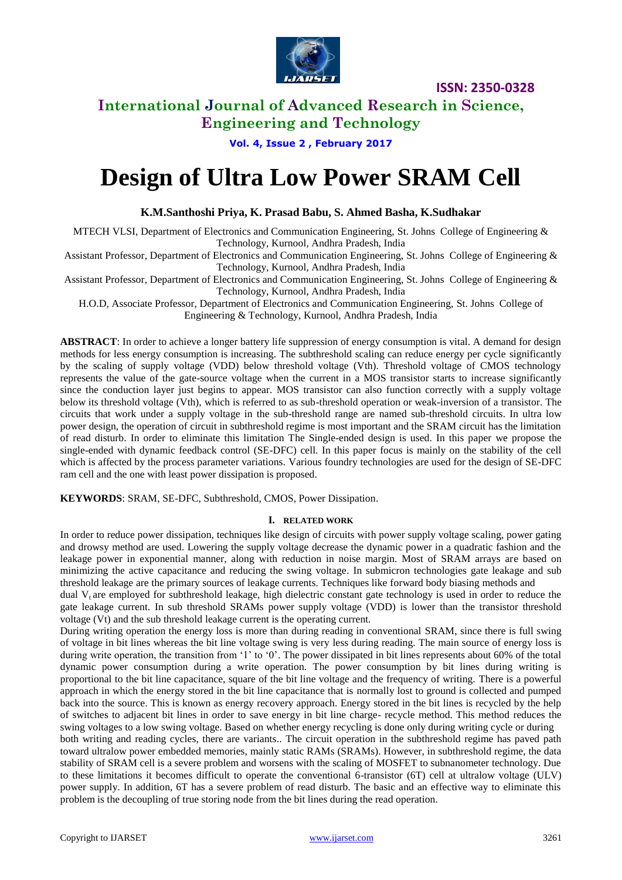

## **International Journal of Advanced Research in Science, Engineering and Technology**

**Vol. 4, Issue 2 , February 2017**

# **Design of Ultra Low Power SRAM Cell**

#### **K.M.Santhoshi Priya, K. Prasad Babu, S. Ahmed Basha, K.Sudhakar**

MTECH VLSI, Department of Electronics and Communication Engineering, St. Johns College of Engineering & Technology, Kurnool, Andhra Pradesh, India

Assistant Professor, Department of Electronics and Communication Engineering, St. Johns College of Engineering & Technology, Kurnool, Andhra Pradesh, India

Assistant Professor, Department of Electronics and Communication Engineering, St. Johns College of Engineering & Technology, Kurnool, Andhra Pradesh, India

H.O.D, Associate Professor, Department of Electronics and Communication Engineering, St. Johns College of Engineering & Technology, Kurnool, Andhra Pradesh, India

**ABSTRACT**: In order to achieve a longer battery life suppression of energy consumption is vital. A demand for design methods for less energy consumption is increasing. The subthreshold scaling can reduce energy per cycle significantly by the scaling of supply voltage (VDD) below threshold voltage (Vth). Threshold voltage of CMOS technology represents the value of the gate-source voltage when the current in a MOS transistor starts to increase significantly since the conduction layer just begins to appear. MOS transistor can also function correctly with a supply voltage below its threshold voltage (Vth), which is referred to as sub-threshold operation or weak-inversion of a transistor. The circuits that work under a supply voltage in the sub-threshold range are named sub-threshold circuits. In ultra low power design, the operation of circuit in subthreshold regime is most important and the SRAM circuit has the limitation of read disturb. In order to eliminate this limitation The Single-ended design is used. In this paper we propose the single-ended with dynamic feedback control (SE-DFC) cell. In this paper focus is mainly on the stability of the cell which is affected by the process parameter variations. Various foundry technologies are used for the design of SE-DFC ram cell and the one with least power dissipation is proposed.

**KEYWORDS**: SRAM, SE-DFC, Subthreshold, CMOS, Power Dissipation.

#### **I. RELATED WORK**

In order to reduce power dissipation, techniques like design of circuits with power supply voltage scaling, power gating and drowsy method are used. Lowering the supply voltage decrease the dynamic power in a quadratic fashion and the leakage power in exponential manner, along with reduction in noise margin. Most of SRAM arrays are based on minimizing the active capacitance and reducing the swing voltage. In submicron technologies gate leakage and sub threshold leakage are the primary sources of leakage currents. Techniques like forward body biasing methods and

dual  $V<sub>t</sub>$  are employed for subthreshold leakage, high dielectric constant gate technology is used in order to reduce the gate leakage current. In sub threshold SRAMs power supply voltage (VDD) is lower than the transistor threshold voltage (Vt) and the sub threshold leakage current is the operating current.

During writing operation the energy loss is more than during reading in conventional SRAM, since there is full swing of voltage in bit lines whereas the bit line voltage swing is very less during reading. The main source of energy loss is during write operation, the transition from '1' to '0'. The power dissipated in bit lines represents about 60% of the total dynamic power consumption during a write operation. The power consumption by bit lines during writing is proportional to the bit line capacitance, square of the bit line voltage and the frequency of writing. There is a powerful approach in which the energy stored in the bit line capacitance that is normally lost to ground is collected and pumped back into the source. This is known as energy recovery approach. Energy stored in the bit lines is recycled by the help of switches to adjacent bit lines in order to save energy in bit line charge- recycle method. This method reduces the swing voltages to a low swing voltage. Based on whether energy recycling is done only during writing cycle or during both writing and reading cycles, there are variants.. The circuit operation in the subthreshold regime has paved path toward ultralow power embedded memories, mainly static RAMs (SRAMs). However, in subthreshold regime, the data stability of SRAM cell is a severe problem and worsens with the scaling of MOSFET to subnanometer technology. Due to these limitations it becomes difficult to operate the conventional 6-transistor (6T) cell at ultralow voltage (ULV) power supply. In addition, 6T has a severe problem of read disturb. The basic and an effective way to eliminate this problem is the decoupling of true storing node from the bit lines during the read operation.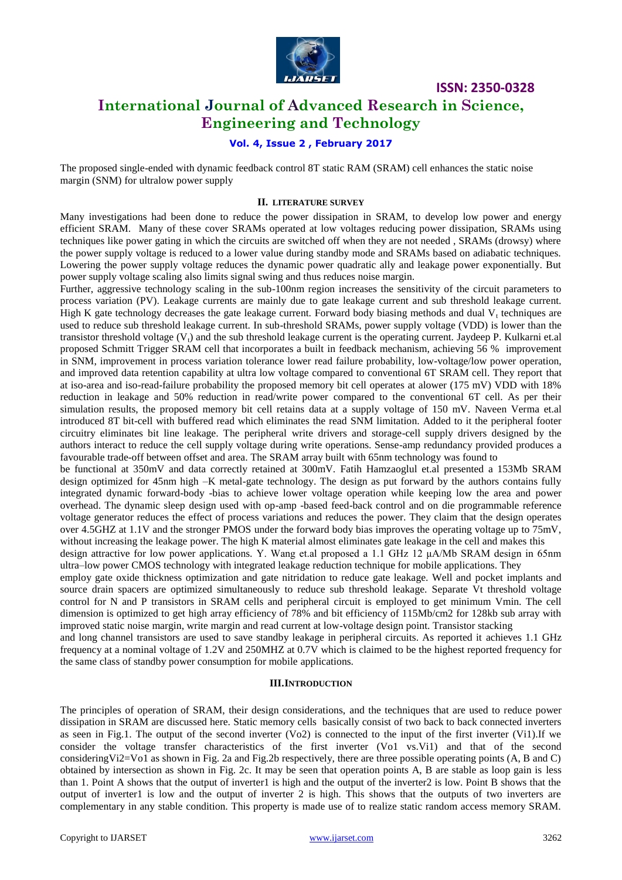

### **International Journal of Advanced Research in Science, Engineering and Technology**

#### **Vol. 4, Issue 2 , February 2017**

The proposed single-ended with dynamic feedback control 8T static RAM (SRAM) cell enhances the static noise margin (SNM) for ultralow power supply

#### **II. LITERATURE SURVEY**

Many investigations had been done to reduce the power dissipation in SRAM, to develop low power and energy efficient SRAM. Many of these cover SRAMs operated at low voltages reducing power dissipation, SRAMs using techniques like power gating in which the circuits are switched off when they are not needed , SRAMs (drowsy) where the power supply voltage is reduced to a lower value during standby mode and SRAMs based on adiabatic techniques. Lowering the power supply voltage reduces the dynamic power quadratic ally and leakage power exponentially. But power supply voltage scaling also limits signal swing and thus reduces noise margin.

Further, aggressive technology scaling in the sub-100nm region increases the sensitivity of the circuit parameters to process variation (PV). Leakage currents are mainly due to gate leakage current and sub threshold leakage current. High K gate technology decreases the gate leakage current. Forward body biasing methods and dual  $V_t$  techniques are used to reduce sub threshold leakage current. In sub-threshold SRAMs, power supply voltage (VDD) is lower than the transistor threshold voltage  $(V<sub>t</sub>)$  and the sub threshold leakage current is the operating current. Jaydeep P. Kulkarni et.al proposed Schmitt Trigger SRAM cell that incorporates a built in feedback mechanism, achieving 56 % improvement in SNM, improvement in process variation tolerance lower read failure probability, low-voltage/low power operation, and improved data retention capability at ultra low voltage compared to conventional 6T SRAM cell. They report that at iso-area and iso-read-failure probability the proposed memory bit cell operates at alower (175 mV) VDD with 18% reduction in leakage and 50% reduction in read/write power compared to the conventional 6T cell. As per their simulation results, the proposed memory bit cell retains data at a supply voltage of 150 mV. Naveen Verma et.al introduced 8T bit-cell with buffered read which eliminates the read SNM limitation. Added to it the peripheral footer circuitry eliminates bit line leakage. The peripheral write drivers and storage-cell supply drivers designed by the authors interact to reduce the cell supply voltage during write operations. Sense-amp redundancy provided produces a favourable trade-off between offset and area. The SRAM array built with 65nm technology was found to

be functional at 350mV and data correctly retained at 300mV. Fatih Hamzaoglul et.al presented a 153Mb SRAM design optimized for 45nm high –K metal-gate technology. The design as put forward by the authors contains fully integrated dynamic forward-body -bias to achieve lower voltage operation while keeping low the area and power overhead. The dynamic sleep design used with op-amp -based feed-back control and on die programmable reference voltage generator reduces the effect of process variations and reduces the power. They claim that the design operates over 4.5GHZ at 1.1V and the stronger PMOS under the forward body bias improves the operating voltage up to 75mV, without increasing the leakage power. The high K material almost eliminates gate leakage in the cell and makes this

design attractive for low power applications. Y. Wang et.al proposed a 1.1 GHz 12 μA/Mb SRAM design in 65nm ultra–low power CMOS technology with integrated leakage reduction technique for mobile applications. They

employ gate oxide thickness optimization and gate nitridation to reduce gate leakage. Well and pocket implants and source drain spacers are optimized simultaneously to reduce sub threshold leakage. Separate Vt threshold voltage control for N and P transistors in SRAM cells and peripheral circuit is employed to get minimum Vmin. The cell dimension is optimized to get high array efficiency of 78% and bit efficiency of 115Mb/cm2 for 128kb sub array with improved static noise margin, write margin and read current at low-voltage design point. Transistor stacking

and long channel transistors are used to save standby leakage in peripheral circuits. As reported it achieves 1.1 GHz frequency at a nominal voltage of 1.2V and 250MHZ at 0.7V which is claimed to be the highest reported frequency for the same class of standby power consumption for mobile applications.

#### **III.INTRODUCTION**

The principles of operation of SRAM, their design considerations, and the techniques that are used to reduce power dissipation in SRAM are discussed here. Static memory cells basically consist of two back to back connected inverters as seen in Fig.1. The output of the second inverter (Vo2) is connected to the input of the first inverter (Vi1).If we consider the voltage transfer characteristics of the first inverter (Vo1 vs.Vi1) and that of the second consideringVi2=Vo1 as shown in Fig. 2a and Fig.2b respectively, there are three possible operating points (A, B and C) obtained by intersection as shown in Fig. 2c. It may be seen that operation points A, B are stable as loop gain is less than 1. Point A shows that the output of inverter1 is high and the output of the inverter2 is low. Point B shows that the output of inverter1 is low and the output of inverter 2 is high. This shows that the outputs of two inverters are complementary in any stable condition. This property is made use of to realize static random access memory SRAM.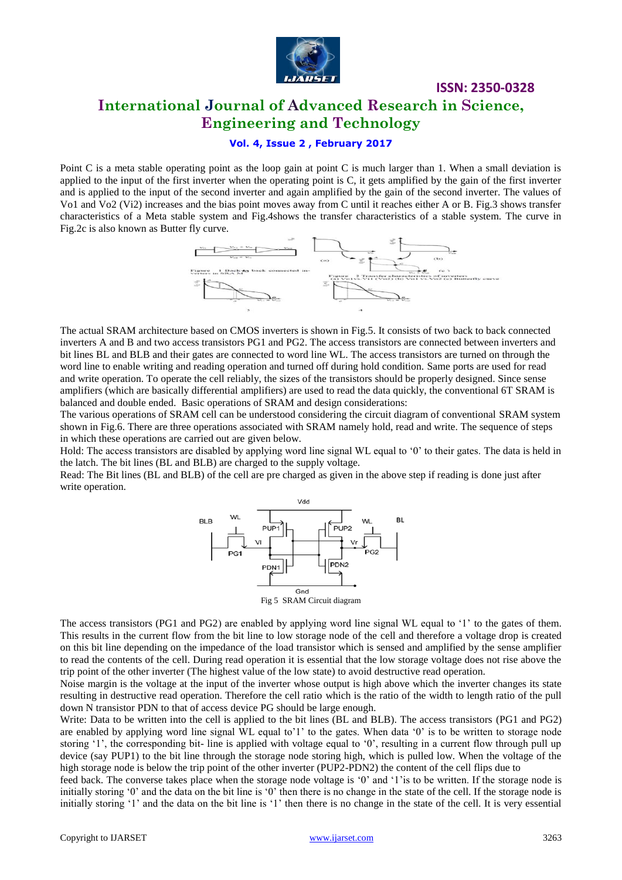

## **International Journal of Advanced Research in Science, Engineering and Technology**

**ISSN: 2350-0328**

#### **Vol. 4, Issue 2 , February 2017**

Point C is a meta stable operating point as the loop gain at point C is much larger than 1. When a small deviation is applied to the input of the first inverter when the operating point is C, it gets amplified by the gain of the first inverter and is applied to the input of the second inverter and again amplified by the gain of the second inverter. The values of Vo1 and Vo2 (Vi2) increases and the bias point moves away from C until it reaches either A or B. Fig.3 shows transfer characteristics of a Meta stable system and Fig.4shows the transfer characteristics of a stable system. The curve in Fig.2c is also known as Butter fly curve.



The actual SRAM architecture based on CMOS inverters is shown in Fig.5. It consists of two back to back connected inverters A and B and two access transistors PG1 and PG2. The access transistors are connected between inverters and bit lines BL and BLB and their gates are connected to word line WL. The access transistors are turned on through the word line to enable writing and reading operation and turned off during hold condition. Same ports are used for read and write operation. To operate the cell reliably, the sizes of the transistors should be properly designed. Since sense amplifiers (which are basically differential amplifiers) are used to read the data quickly, the conventional 6T SRAM is balanced and double ended. Basic operations of SRAM and design considerations:

The various operations of SRAM cell can be understood considering the circuit diagram of conventional SRAM system shown in Fig.6. There are three operations associated with SRAM namely hold, read and write. The sequence of steps in which these operations are carried out are given below.

Hold: The access transistors are disabled by applying word line signal WL equal to "0" to their gates. The data is held in the latch. The bit lines (BL and BLB) are charged to the supply voltage.

Read: The Bit lines (BL and BLB) of the cell are pre charged as given in the above step if reading is done just after write operation.



The access transistors (PG1 and PG2) are enabled by applying word line signal WL equal to "1" to the gates of them. This results in the current flow from the bit line to low storage node of the cell and therefore a voltage drop is created on this bit line depending on the impedance of the load transistor which is sensed and amplified by the sense amplifier to read the contents of the cell. During read operation it is essential that the low storage voltage does not rise above the trip point of the other inverter (The highest value of the low state) to avoid destructive read operation.

Noise margin is the voltage at the input of the inverter whose output is high above which the inverter changes its state resulting in destructive read operation. Therefore the cell ratio which is the ratio of the width to length ratio of the pull down N transistor PDN to that of access device PG should be large enough.

Write: Data to be written into the cell is applied to the bit lines (BL and BLB). The access transistors (PG1 and PG2) are enabled by applying word line signal WL equal to $1'$  to the gates. When data  $0'$  is to be written to storage node storing '1', the corresponding bit- line is applied with voltage equal to '0', resulting in a current flow through pull up device (say PUP1) to the bit line through the storage node storing high, which is pulled low. When the voltage of the high storage node is below the trip point of the other inverter (PUP2-PDN2) the content of the cell flips due to

feed back. The converse takes place when the storage node voltage is "0" and "1"is to be written. If the storage node is initially storing '0' and the data on the bit line is '0' then there is no change in the state of the cell. If the storage node is initially storing '1' and the data on the bit line is '1' then there is no change in the state of the cell. It is very essential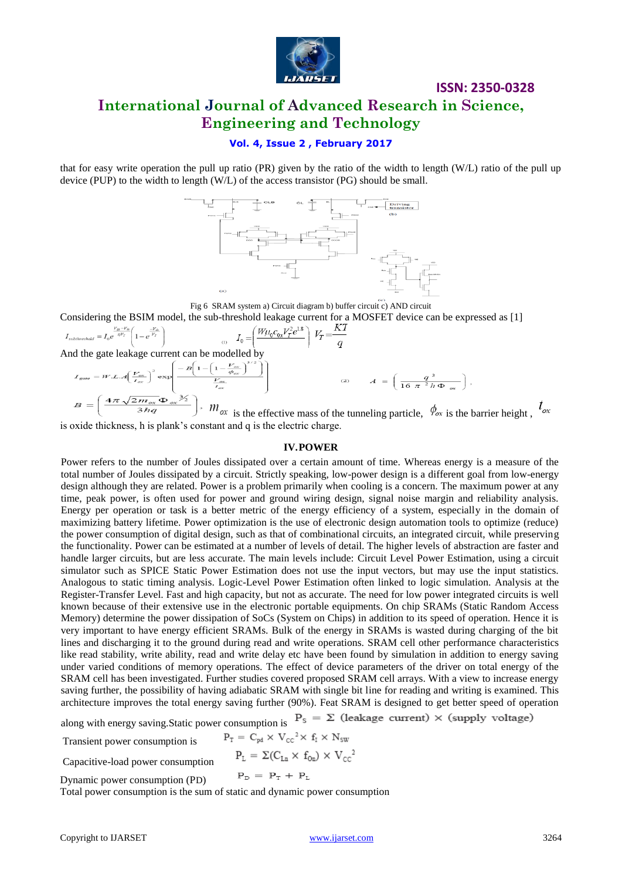

## **ISSN: 2350-0328 International Journal of Advanced Research in Science, Engineering and Technology**

#### **Vol. 4, Issue 2 , February 2017**

that for easy write operation the pull up ratio (PR) given by the ratio of the width to length (W/L) ratio of the pull up device (PUP) to the width to length (W/L) of the access transistor (PG) should be small.



Fig 6 SRAM system a) Circuit diagram b) buffer circuit c) AND circuit Considering the BSIM model, the sub-threshold leakage current for a MOSFET device can be expressed as [1]

$$
I_{subthreshold} = I_0 e^{\frac{V_{g} - V_h}{\eta V_T}} \left( 1 - e^{\frac{-V_{h}}{V_T}} \right)
$$
\n
$$
I_0 = \left( \frac{W \mu_0 c_{0x} V_T^2 e^{1.8}}{V_T} \right) V_T = \frac{KT}{q}
$$

And the gate leakage current can be modelled by

$$
I_{\text{gole}} = W.L.A \left( \frac{V_{\text{ex}}}{V_{\text{ex}}} \right)^2 \exp \left( \frac{-B \left( 1 - \left( 1 - \frac{V_{\text{ex}}}{\phi_{\text{ex}}} \right)^{3/2} \right)}{\frac{V_{\text{ex}}}{V_{\text{ex}}}} \right)
$$
\n
$$
B = \left( \frac{4\pi \sqrt{2m_{\text{ex}} \Phi_{\text{ex}}} \frac{3}{2} \right), \quad W_{\text{ex}} \text{ is the effective mass of the tunneling particle, } \phi_{\text{ex}} \text{ is the barrier height, } \frac{1}{2} \phi_{\text{ex}} \right)
$$

is oxide thickness, h is plank"s constant and q is the electric charge.

#### **IV.POWER**

Power refers to the number of Joules dissipated over a certain amount of time. Whereas energy is a measure of the total number of Joules dissipated by a circuit. Strictly speaking, low-power design is a different goal from low-energy design although they are related. Power is a problem primarily when cooling is a concern. The maximum power at any time, peak power, is often used for power and ground wiring design, signal noise margin and reliability analysis. Energy per operation or task is a better metric of the energy efficiency of a system, especially in the domain of maximizing battery lifetime. Power optimization is the use of electronic design automation tools to optimize (reduce) the power consumption of digital design, such as that of combinational circuits, an integrated circuit, while preserving the functionality. Power can be estimated at a number of levels of detail. The higher levels of abstraction are faster and handle larger circuits, but are less accurate. The main levels include: Circuit Level Power Estimation, using a circuit simulator such as [SPICE](http://en.wikipedia.org/wiki/SPICE) Static Power Estimation does not use the input vectors, but may use the input statistics. Analogous to [static timing analysis.](http://en.wikipedia.org/wiki/Static_timing_analysis) Logic-Level Power Estimation often linked to [logic simulation.](http://en.wikipedia.org/wiki/Logic_simulation) Analysis at the Register-Transfer Level. Fast and high capacity, but not as accurate. The need for low power integrated circuits is well known because of their extensive use in the electronic portable equipments. On chip SRAMs (Static Random Access Memory) determine the power dissipation of SoCs (System on Chips) in addition to its speed of operation. Hence it is very important to have energy efficient SRAMs. Bulk of the energy in SRAMs is wasted during charging of the bit lines and discharging it to the ground during read and write operations. SRAM cell other performance characteristics like read stability, write ability, read and write delay etc have been found by simulation in addition to energy saving under varied conditions of memory operations. The effect of device parameters of the driver on total energy of the SRAM cell has been investigated. Further studies covered proposed SRAM cell arrays. With a view to increase energy saving further, the possibility of having adiabatic SRAM with single bit line for reading and writing is examined. This architecture improves the total energy saving further (90%). Feat SRAM is designed to get better speed of operation

along with energy saving.Static power consumption is  $P_s = \Sigma$  (leakage current)  $\times$  (supply voltage)<br>Transient power consumption is  $P_T = C_{pd} \times V_{cc}^2 \times f_T \times N_{sw}$ 

Transient power consumption is

$$
P_{L} = \Sigma (C_{Lu} \times f_{0u}) \times V_{cc}^{2}
$$

Capacitive-load power consumption

 $P_{\rm D} = P_{\rm T} + P_{\rm L}$ Dynamic power consumption (PD)

Total power consumption is the sum of static and dynamic power consumption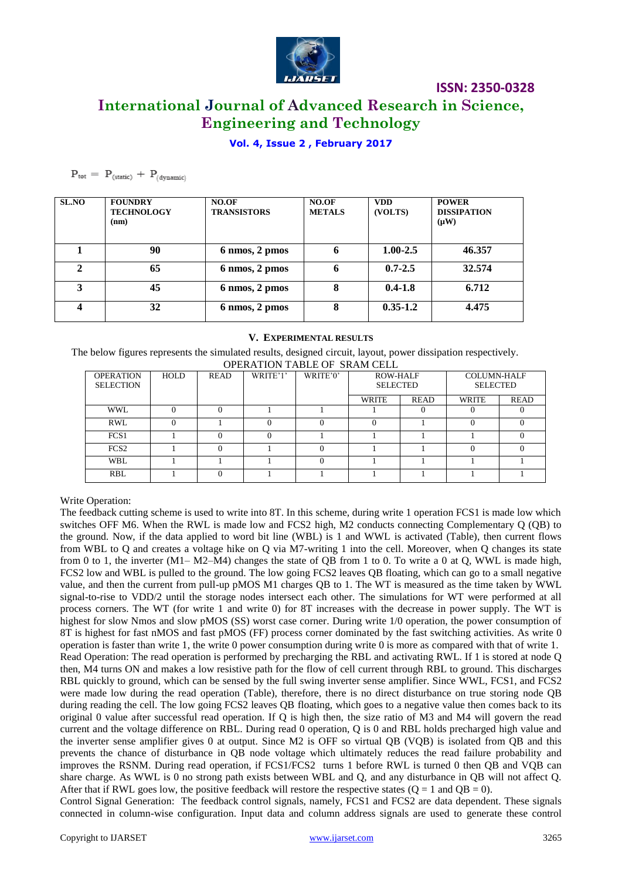

## **International Journal of Advanced Research in Science, Engineering and Technology**

#### **Vol. 4, Issue 2 , February 2017**

#### $P_{\text{tot}} = P_{\text{(static)}} + P_{\text{(dynamic)}}$

| <b>SL.NO</b> | <b>FOUNDRY</b><br><b>TECHNOLOGY</b><br>(nm) | NO.OF<br><b>TRANSISTORS</b> | NO.OF<br><b>METALS</b> | <b>VDD</b><br>(VOLTS) | <b>POWER</b><br><b>DISSIPATION</b><br>$(\mu W)$ |
|--------------|---------------------------------------------|-----------------------------|------------------------|-----------------------|-------------------------------------------------|
|              | 90                                          | 6 nmos, 2 pmos              | 6                      | $1.00 - 2.5$          | 46.357                                          |
|              | 65                                          | 6 nmos, 2 pmos              | 6                      | $0.7 - 2.5$           | 32.574                                          |
| 3            | 45                                          | 6 nmos, 2 pmos              | 8                      | $0.4 - 1.8$           | 6.712                                           |
| 4            | 32                                          | 6 nmos, 2 pmos              | 8                      | $0.35 - 1.2$          | 4.475                                           |

#### **V. EXPERIMENTAL RESULTS**

The below figures represents the simulated results, designed circuit, layout, power dissipation respectively. OPERATION TABLE OF SRAM CELL

| <u>UI LIWITION TABBB UI DIWIM CELE</u> |             |             |          |          |                                    |             |                                       |             |  |  |  |  |  |
|----------------------------------------|-------------|-------------|----------|----------|------------------------------------|-------------|---------------------------------------|-------------|--|--|--|--|--|
| <b>OPERATION</b><br><b>SELECTION</b>   | <b>HOLD</b> | <b>READ</b> | WRITE'1' | WRITE'0' | <b>ROW-HALF</b><br><b>SELECTED</b> |             | <b>COLUMN-HALF</b><br><b>SELECTED</b> |             |  |  |  |  |  |
|                                        |             |             |          |          | WRITE                              | <b>READ</b> | WRITE                                 | <b>READ</b> |  |  |  |  |  |
| WWL                                    |             |             |          |          |                                    |             |                                       |             |  |  |  |  |  |
| <b>RWL</b>                             |             |             |          |          |                                    |             |                                       |             |  |  |  |  |  |
| FCS <sub>1</sub>                       |             |             |          |          |                                    |             |                                       |             |  |  |  |  |  |
| FCS <sub>2</sub>                       |             |             |          |          |                                    |             |                                       |             |  |  |  |  |  |
| WBL                                    |             |             |          |          |                                    |             |                                       |             |  |  |  |  |  |
| <b>RBL</b>                             |             |             |          |          |                                    |             |                                       |             |  |  |  |  |  |

#### Write Operation:

The feedback cutting scheme is used to write into 8T. In this scheme, during write 1 operation FCS1 is made low which switches OFF M6. When the RWL is made low and FCS2 high, M2 conducts connecting Complementary Q (QB) to the ground. Now, if the data applied to word bit line (WBL) is 1 and WWL is activated (Table), then current flows from WBL to Q and creates a voltage hike on Q via M7-writing 1 into the cell. Moreover, when Q changes its state from 0 to 1, the inverter (M1– M2–M4) changes the state of QB from 1 to 0. To write a 0 at Q, WWL is made high, FCS2 low and WBL is pulled to the ground. The low going FCS2 leaves QB floating, which can go to a small negative value, and then the current from pull-up pMOS M1 charges QB to 1. The WT is measured as the time taken by WWL signal-to-rise to VDD/2 until the storage nodes intersect each other. The simulations for WT were performed at all process corners. The WT (for write 1 and write 0) for 8T increases with the decrease in power supply. The WT is highest for slow Nmos and slow pMOS (SS) worst case corner. During write 1/0 operation, the power consumption of 8T is highest for fast nMOS and fast pMOS (FF) process corner dominated by the fast switching activities. As write 0 operation is faster than write 1, the write 0 power consumption during write 0 is more as compared with that of write 1. Read Operation: The read operation is performed by precharging the RBL and activating RWL. If 1 is stored at node Q then, M4 turns ON and makes a low resistive path for the flow of cell current through RBL to ground. This discharges RBL quickly to ground, which can be sensed by the full swing inverter sense amplifier. Since WWL, FCS1, and FCS2 were made low during the read operation (Table), therefore, there is no direct disturbance on true storing node QB during reading the cell. The low going FCS2 leaves QB floating, which goes to a negative value then comes back to its original 0 value after successful read operation. If Q is high then, the size ratio of M3 and M4 will govern the read current and the voltage difference on RBL. During read 0 operation, Q is 0 and RBL holds precharged high value and the inverter sense amplifier gives 0 at output. Since M2 is OFF so virtual QB (VQB) is isolated from QB and this prevents the chance of disturbance in QB node voltage which ultimately reduces the read failure probability and improves the RSNM. During read operation, if FCS1/FCS2 turns 1 before RWL is turned 0 then QB and VQB can share charge. As WWL is 0 no strong path exists between WBL and Q, and any disturbance in QB will not affect Q. After that if RWL goes low, the positive feedback will restore the respective states  $(Q = 1 \text{ and } QB = 0)$ . Control Signal Generation: The feedback control signals, namely, FCS1 and FCS2 are data dependent. These signals

connected in column-wise configuration. Input data and column address signals are used to generate these control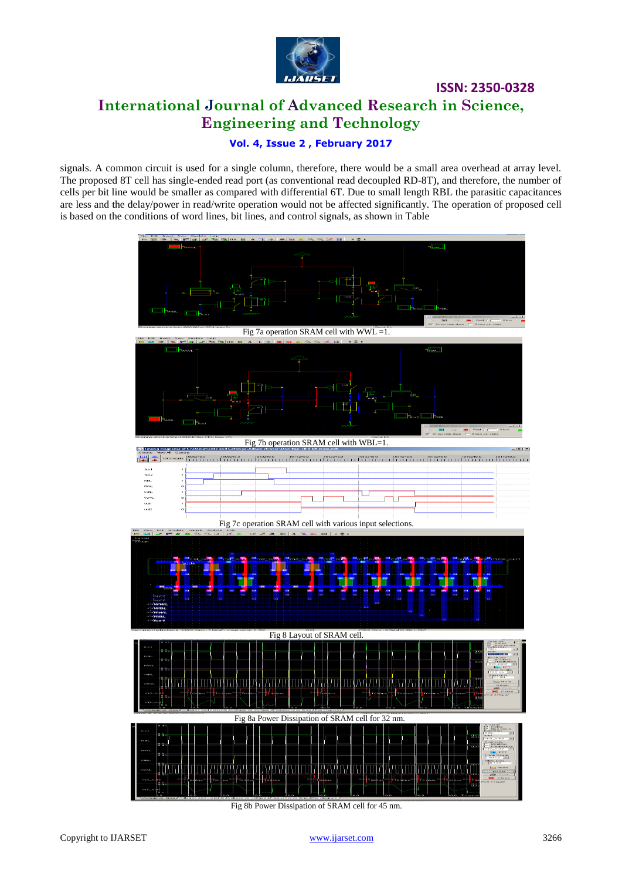

## **ISSN: 2350-0328 International Journal of Advanced Research in Science, Engineering and Technology**

#### **Vol. 4, Issue 2 , February 2017**

signals. A common circuit is used for a single column, therefore, there would be a small area overhead at array level. The proposed 8T cell has single-ended read port (as conventional read decoupled RD-8T), and therefore, the number of cells per bit line would be smaller as compared with differential 6T. Due to small length RBL the parasitic capacitances are less and the delay/power in read/write operation would not be affected significantly. The operation of proposed cell is based on the conditions of word lines, bit lines, and control signals, as shown in Table



Fig 8b Power Dissipation of SRAM cell for 45 nm.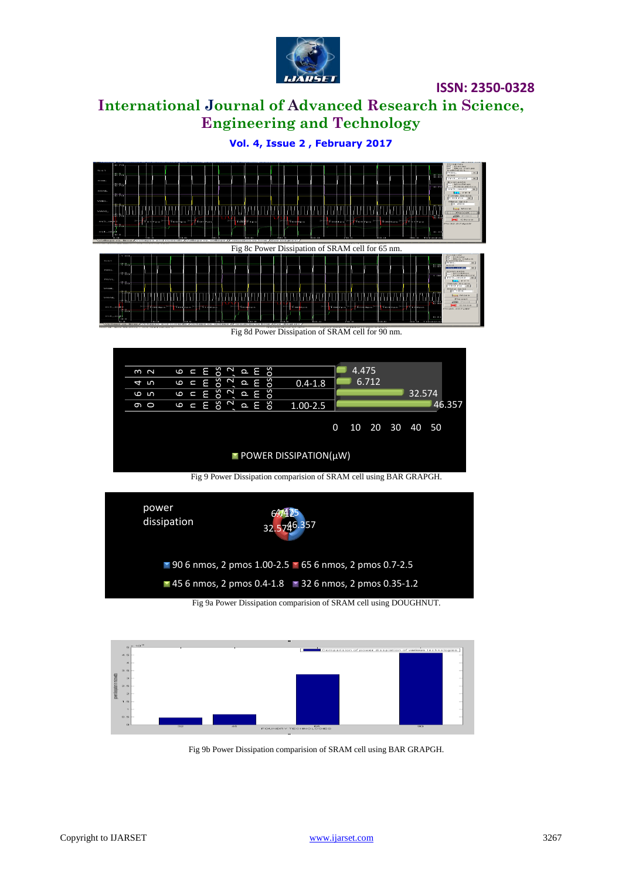

## **International Journal of Advanced Research in Science, Engineering and Technology**

**Vol. 4, Issue 2 , February 2017**



Fig 8d Power Dissipation of SRAM cell for 90 nm.



Fig 9 Power Dissipation comparision of SRAM cell using BAR GRAPGH.



Fig 9a Power Dissipation comparision of SRAM cell using DOUGHNUT.



Fig 9b Power Dissipation comparision of SRAM cell using BAR GRAPGH.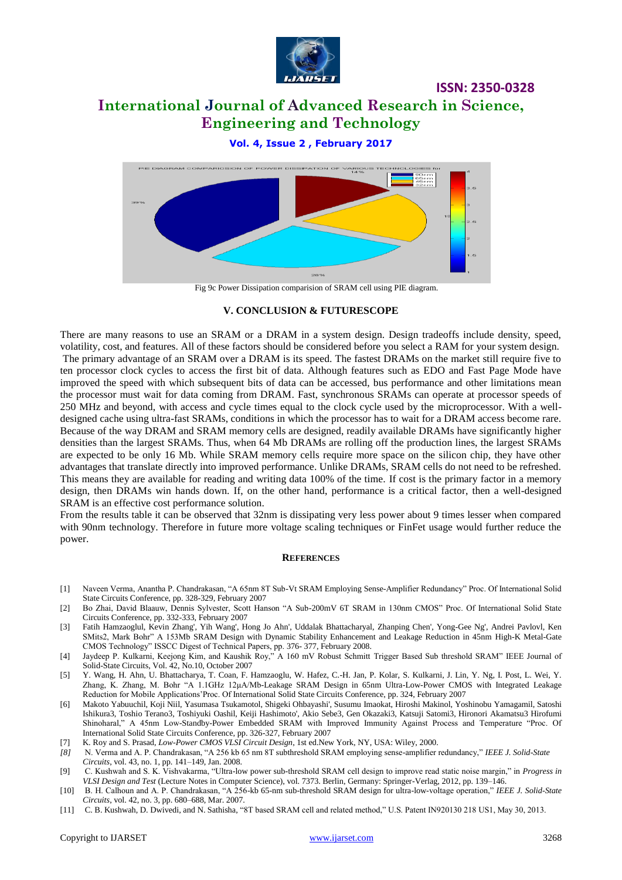

## **International Journal of Advanced Research in Science, Engineering and Technology**

**ISSN: 2350-0328**

#### **Vol. 4, Issue 2 , February 2017**



#### **V. CONCLUSION & FUTURESCOPE**

There are many reasons to use an SRAM or a DRAM in a system design. Design tradeoffs include density, speed, volatility, cost, and features. All of these factors should be considered before you select a RAM for your system design. The primary advantage of an SRAM over a DRAM is its speed. The fastest DRAMs on the market still require five to ten processor clock cycles to access the first bit of data. Although features such as EDO and Fast Page Mode have improved the speed with which subsequent bits of data can be accessed, bus performance and other limitations mean the processor must wait for data coming from DRAM. Fast, synchronous SRAMs can operate at processor speeds of 250 MHz and beyond, with access and cycle times equal to the clock cycle used by the microprocessor. With a welldesigned cache using ultra-fast SRAMs, conditions in which the processor has to wait for a DRAM access become rare. Because of the way DRAM and SRAM memory cells are designed, readily available DRAMs have significantly higher densities than the largest SRAMs. Thus, when 64 Mb DRAMs are rolling off the production lines, the largest SRAMs are expected to be only 16 Mb. While SRAM memory cells require more space on the silicon chip, they have other advantages that translate directly into improved performance. Unlike DRAMs, SRAM cells do not need to be refreshed. This means they are available for reading and writing data 100% of the time. If cost is the primary factor in a memory design, then DRAMs win hands down. If, on the other hand, performance is a critical factor, then a well-designed SRAM is an effective cost performance solution.

From the results table it can be observed that 32nm is dissipating very less power about 9 times lesser when compared with 90nm technology. Therefore in future more voltage scaling techniques or FinFet usage would further reduce the power.

#### **REFERENCES**

- [1] Naveen Verma, Anantha P. Chandrakasan, "A 65nm 8T Sub-Vt SRAM Employing Sense-Amplifier Redundancy" Proc. Of International Solid State Circuits Conference, pp. 328-329, February 2007
- [2] Bo Zhai, David Blaauw, Dennis Sylvester, Scott Hanson "A Sub-200mV 6T SRAM in 130nm CMOS" Proc. Of International Solid State Circuits Conference, pp. 332-333, February 2007
- [3] Fatih Hamzaoglul, Kevin Zhang', Yih Wang', Hong Jo Ahn', Uddalak Bhattacharyal, Zhanping Chen', Yong-Gee Ng', Andrei Pavlovl, Ken SMits2, Mark Bohr" A 153Mb SRAM Design with Dynamic Stability Enhancement and Leakage Reduction in 45nm High-K Metal-Gate CMOS Technology" ISSCC Digest of Technical Papers, pp. 376- 377, February 2008.
- [4] Jaydeep P. Kulkarni, Keejong Kim, and Kaushik Roy," A 160 mV Robust Schmitt Trigger Based Sub threshold SRAM" IEEE Journal of Solid-State Circuits, Vol. 42, No.10, October 2007
- [5] Y. Wang, H. Ahn, U. Bhattacharya, T. Coan, F. Hamzaoglu, W. Hafez, C.-H. Jan, P. Kolar, S. Kulkarni, J. Lin, Y. Ng, I. Post, L. Wei, Y. Zhang, K. Zhang, M. Bohr "A 1.1GHz 12μA/Mb-Leakage SRAM Design in 65nm Ultra-Low-Power CMOS with Integrated Leakage Reduction for Mobile Applications"Proc. Of International Solid State Circuits Conference, pp. 324, February 2007
- [6] Makoto Yabuuchil, Koji Niil, Yasumasa Tsukamotol, Shigeki Ohbayashi', Susumu Imaokat, Hiroshi Makinol, Yoshinobu Yamagamil, Satoshi Ishikura3, Toshio Terano3, Toshiyuki Oashil, Keiji Hashimoto', Akio Sebe3, Gen Okazaki3, Katsuji Satomi3, Hironori Akamatsu3 Hirofumi Shinoharal," A 45nm Low-Standby-Power Embedded SRAM with Improved Immunity Against Process and Temperature "Proc. Of International Solid State Circuits Conference, pp. 326-327, February 2007
- [7] K. Roy and S. Prasad, *Low-Power CMOS VLSI Circuit Design*, 1st ed.New York, NY, USA: Wiley, 2000.
- *[8]* N. Verma and A. P. Chandrakasan, "A 256 kb 65 nm 8T subthreshold SRAM employing sense-amplifier redundancy," *IEEE J. Solid-State Circuits*, vol. 43, no. 1, pp. 141–149, Jan. 2008.
- [9] C. Kushwah and S. K. Vishvakarma, "Ultra-low power sub-threshold SRAM cell design to improve read static noise margin," in *Progress in VLSI Design and Test* (Lecture Notes in Computer Science), vol. 7373. Berlin, Germany: Springer-Verlag, 2012, pp. 139–146.
- [10] B. H. Calhoun and A. P. Chandrakasan, "A 256-kb 65-nm sub-threshold SRAM design for ultra-low-voltage operation," *IEEE J. Solid-State Circuits*, vol. 42, no. 3, pp. 680–688, Mar. 2007.
- [11] C. B. Kushwah, D. Dwivedi, and N. Sathisha, "8T based SRAM cell and related method," U.S. Patent IN920130 218 US1, May 30, 2013.